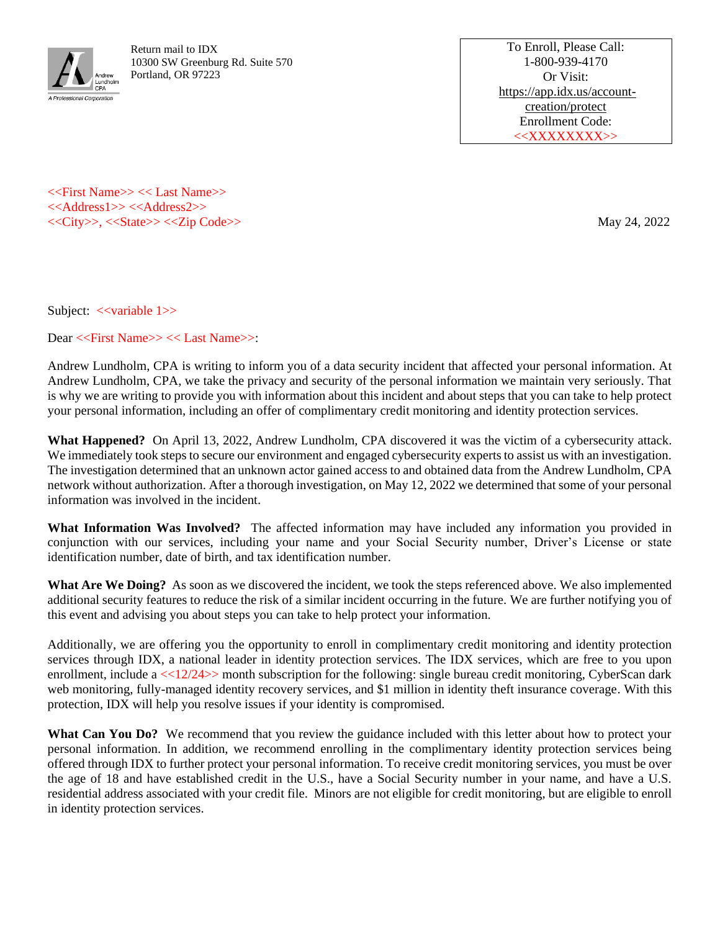

Return mail to IDX 10300 SW Greenburg Rd. Suite 570 Portland, OR 97223

To Enroll, Please Call: 1-800-939-4170 Or Visit: [https://app.idx.us/account](https://app.idx.us/account-creation/%3c%3ccustom%3e%3e)[creation/protect](https://app.idx.us/account-creation/%3c%3ccustom%3e%3e) Enrollment Code: <<XXXXXXXX>>

<<First Name>> << Last Name>> <<Address1>> <<Address2>> <<City>>, <<State>> <<Zip Code>> May 24, 2022

Subject: <<variable 1>>

Dear <<First Name>> << Last Name>>:

Andrew Lundholm, CPA is writing to inform you of a data security incident that affected your personal information. At Andrew Lundholm, CPA, we take the privacy and security of the personal information we maintain very seriously. That is why we are writing to provide you with information about this incident and about steps that you can take to help protect your personal information, including an offer of complimentary credit monitoring and identity protection services.

**What Happened?** On April 13, 2022, Andrew Lundholm, CPA discovered it was the victim of a cybersecurity attack. We immediately took steps to secure our environment and engaged cybersecurity experts to assist us with an investigation. The investigation determined that an unknown actor gained access to and obtained data from the Andrew Lundholm, CPA network without authorization. After a thorough investigation, on May 12, 2022 we determined that some of your personal information was involved in the incident.

**What Information Was Involved?** The affected information may have included any information you provided in conjunction with our services, including your name and your Social Security number, Driver's License or state identification number, date of birth, and tax identification number.

**What Are We Doing?** As soon as we discovered the incident, we took the steps referenced above. We also implemented additional security features to reduce the risk of a similar incident occurring in the future. We are further notifying you of this event and advising you about steps you can take to help protect your information.

Additionally, we are offering you the opportunity to enroll in complimentary credit monitoring and identity protection services through IDX, a national leader in identity protection services. The IDX services, which are free to you upon enrollment, include a  $\ll$ 12/24>> month subscription for the following: single bureau credit monitoring, CyberScan dark web monitoring, fully-managed identity recovery services, and \$1 million in identity theft insurance coverage. With this protection, IDX will help you resolve issues if your identity is compromised.

What Can You Do? We recommend that you review the guidance included with this letter about how to protect your personal information. In addition, we recommend enrolling in the complimentary identity protection services being offered through IDX to further protect your personal information. To receive credit monitoring services, you must be over the age of 18 and have established credit in the U.S., have a Social Security number in your name, and have a U.S. residential address associated with your credit file. Minors are not eligible for credit monitoring, but are eligible to enroll in identity protection services.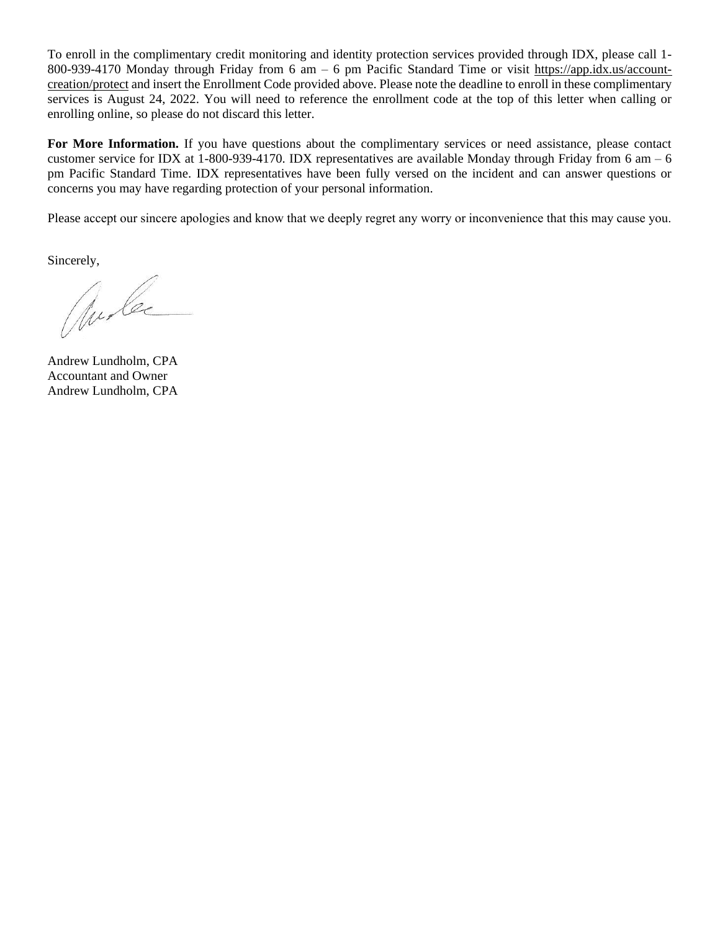To enroll in the complimentary credit monitoring and identity protection services provided through IDX, please call 1- 800-939-4170 Monday through Friday from 6 am – 6 pm Pacific Standard Time or visit [https://app.idx.us/account](https://app.idx.us/account-creation/protect)[creation/protect](https://app.idx.us/account-creation/protect) and insert the Enrollment Code provided above. Please note the deadline to enroll in these complimentary services is August 24, 2022. You will need to reference the enrollment code at the top of this letter when calling or enrolling online, so please do not discard this letter.

**For More Information.** If you have questions about the complimentary services or need assistance, please contact customer service for IDX at 1-800-939-4170. IDX representatives are available Monday through Friday from 6 am  $-$  6 pm Pacific Standard Time. IDX representatives have been fully versed on the incident and can answer questions or concerns you may have regarding protection of your personal information.

Please accept our sincere apologies and know that we deeply regret any worry or inconvenience that this may cause you.

Sincerely,

aude

Andrew Lundholm, CPA Accountant and Owner Andrew Lundholm, CPA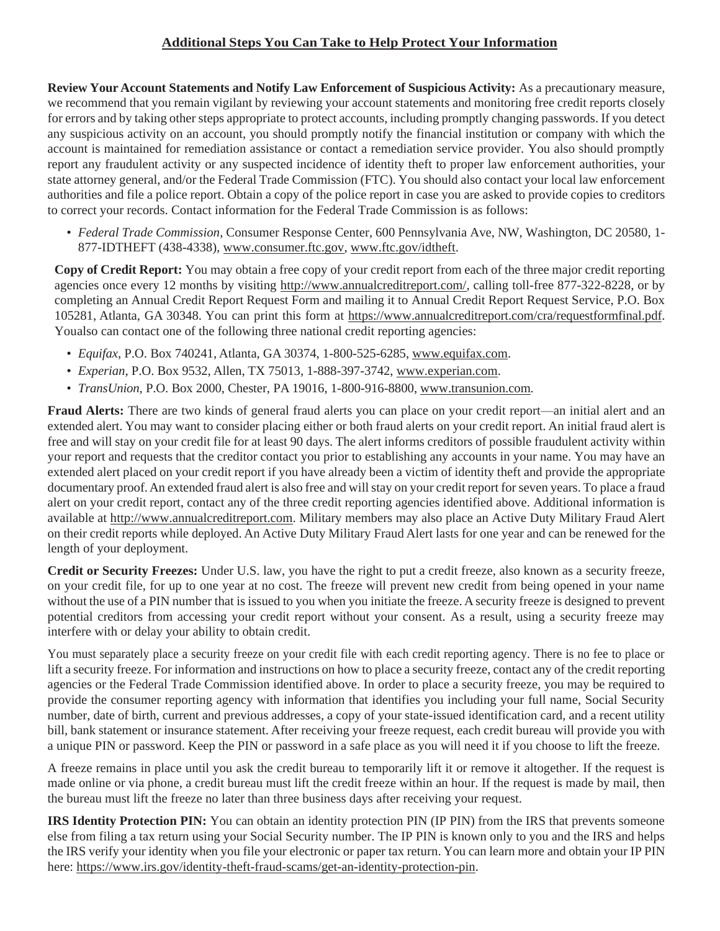## **Additional Steps You Can Take to Help Protect Your Information**

**Review Your Account Statements and Notify Law Enforcement of Suspicious Activity:** As a precautionary measure, we recommend that you remain vigilant by reviewing your account statements and monitoring free credit reports closely for errors and by taking other steps appropriate to protect accounts, including promptly changing passwords. If you detect any suspicious activity on an account, you should promptly notify the financial institution or company with which the account is maintained for remediation assistance or contact a remediation service provider. You also should promptly report any fraudulent activity or any suspected incidence of identity theft to proper law enforcement authorities, your state attorney general, and/or the Federal Trade Commission (FTC). You should also contact your local law enforcement authorities and file a police report. Obtain a copy of the police report in case you are asked to provide copies to creditors to correct your records. Contact information for the Federal Trade Commission is as follows:

*• Federal Trade Commission*, Consumer Response Center, 600 Pennsylvania Ave, NW, Washington, DC 20580, 1- 877-IDTHEFT (438-4338), [www.consumer.ftc.gov,](http://www.consumer.ftc.gov/) [www.ftc.gov/idtheft.](http://www.ftc.gov/idtheft)

**Copy of Credit Report:** You may obtain a free copy of your credit report from each of the three major credit reporting agencies once every 12 months by visiting [http://www.annualcreditreport.com/, c](http://www.annualcreditreport.com/)alling toll-free 877-322-8228, or by completing an Annual Credit Report Request Form and mailing it to Annual Credit Report Request Service, P.O. Box 105281, Atlanta, GA 30348. You can print this form at [https://www.annualcreditreport.com/cra/requestformfinal.pdf.](http://www.annualcreditreport.com/cra/requestformfinal.pdf) Youalso can contact one of the following three national credit reporting agencies:

- *• Equifax*, P.O. Box 740241, Atlanta, GA 30374, 1-800-525-6285, [www.equifax.com.](http://www.equifax.com/)
- *• Experian*, P.O. Box 9532, Allen, TX 75013, 1-888-397-3742, [www.experian.com.](http://www.experian.com/)
- *• TransUnion*, P.O. Box 2000, Chester, PA 19016, 1-800-916-8800, [www.transunion.com.](http://www.transunion.com/)

**Fraud Alerts:** There are two kinds of general fraud alerts you can place on your credit report—an initial alert and an extended alert. You may want to consider placing either or both fraud alerts on your credit report. An initial fraud alert is free and will stay on your credit file for at least 90 days. The alert informs creditors of possible fraudulent activity within your report and requests that the creditor contact you prior to establishing any accounts in your name. You may have an extended alert placed on your credit report if you have already been a victim of identity theft and provide the appropriate documentary proof. An extended fraud alert is also free and will stay on your credit report for seven years. To place a fraud alert on your credit report, contact any of the three credit reporting agencies identified above. Additional information is available at [http://www.annualcreditreport.com. M](http://www.annualcreditreport.com/)ilitary members may also place an Active Duty Military Fraud Alert on their credit reports while deployed. An Active Duty Military Fraud Alert lasts for one year and can be renewed for the length of your deployment.

**Credit or Security Freezes:** Under U.S. law, you have the right to put a credit freeze, also known as a security freeze, on your credit file, for up to one year at no cost. The freeze will prevent new credit from being opened in your name without the use of a PIN number that is issued to you when you initiate the freeze. A security freeze is designed to prevent potential creditors from accessing your credit report without your consent. As a result, using a security freeze may interfere with or delay your ability to obtain credit.

You must separately place a security freeze on your credit file with each credit reporting agency. There is no fee to place or lift a security freeze. For information and instructions on how to place a security freeze, contact any of the credit reporting agencies or the Federal Trade Commission identified above. In order to place a security freeze, you may be required to provide the consumer reporting agency with information that identifies you including your full name, Social Security number, date of birth, current and previous addresses, a copy of your state-issued identification card, and a recent utility bill, bank statement or insurance statement. After receiving your freeze request, each credit bureau will provide you with a unique PIN or password. Keep the PIN or password in a safe place as you will need it if you choose to lift the freeze.

A freeze remains in place until you ask the credit bureau to temporarily lift it or remove it altogether. If the request is made online or via phone, a credit bureau must lift the credit freeze within an hour. If the request is made by mail, then the bureau must lift the freeze no later than three business days after receiving your request.

**IRS Identity Protection PIN:** You can obtain an identity protection PIN (IP PIN) from the IRS that prevents someone else from filing a tax return using your Social Security number. The IP PIN is known only to you and the IRS and helps the IRS verify your identity when you file your electronic or paper tax return. You can learn more and obtain your IP PIN here: [https://www.irs.gov/identity-theft-fraud-scams/get-an-identity-protection-pin.](http://www.irs.gov/identity-theft-fraud-scams/get-an-identity-protection-pin)